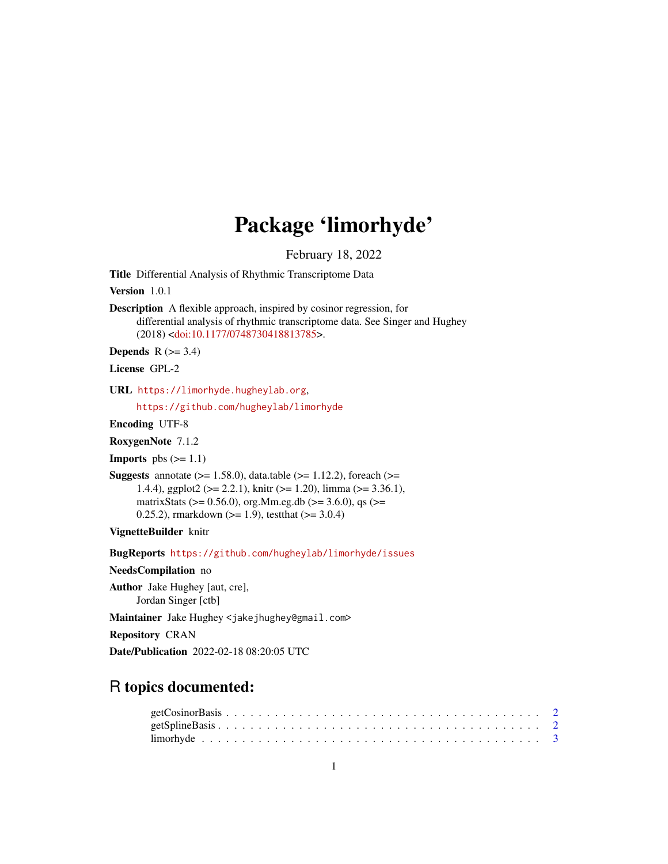## Package 'limorhyde'

February 18, 2022

<span id="page-0-0"></span>Title Differential Analysis of Rhythmic Transcriptome Data

Version 1.0.1

Description A flexible approach, inspired by cosinor regression, for differential analysis of rhythmic transcriptome data. See Singer and Hughey (2018) [<doi:10.1177/0748730418813785>](https://doi.org/10.1177/0748730418813785).

Depends  $R$  ( $>= 3.4$ )

License GPL-2

URL <https://limorhyde.hugheylab.org>,

<https://github.com/hugheylab/limorhyde>

Encoding UTF-8

RoxygenNote 7.1.2

**Imports** pbs  $(>= 1.1)$ 

**Suggests** annotate  $(>= 1.58.0)$ , data.table  $(>= 1.12.2)$ , foreach  $(>=$ 1.4.4), ggplot2 ( $> = 2.2.1$ ), knitr ( $> = 1.20$ ), limma ( $> = 3.36.1$ ), matrixStats ( $> = 0.56.0$ ), org.Mm.eg.db ( $> = 3.6.0$ ), qs ( $> =$ 0.25.2), rmarkdown ( $>= 1.9$ ), testthat ( $>= 3.0.4$ )

VignetteBuilder knitr

BugReports <https://github.com/hugheylab/limorhyde/issues>

NeedsCompilation no

Author Jake Hughey [aut, cre], Jordan Singer [ctb]

Maintainer Jake Hughey <jakejhughey@gmail.com>

Repository CRAN

Date/Publication 2022-02-18 08:20:05 UTC

### R topics documented: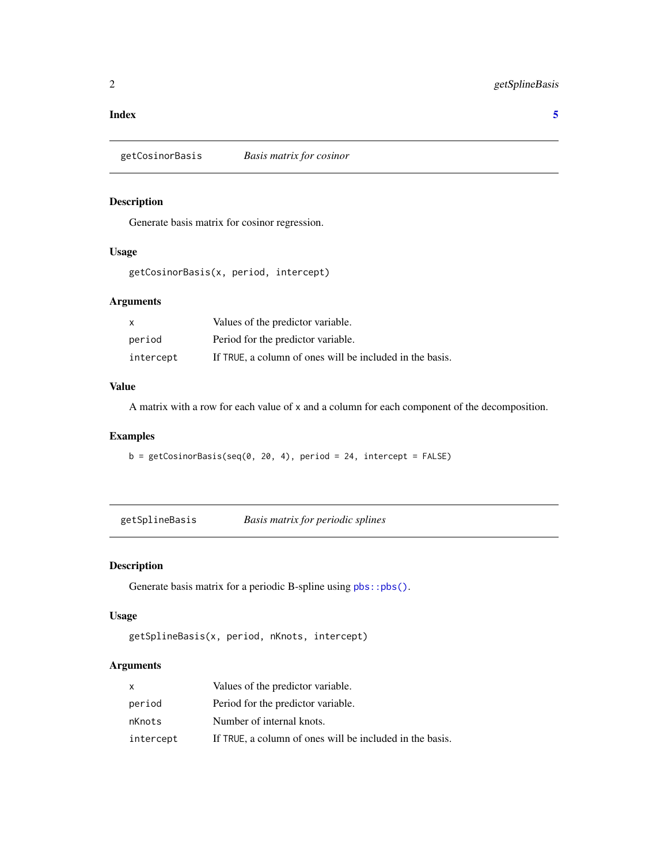### <span id="page-1-0"></span>**Index** [5](#page-4-0). The second state of the second state of the second state of the second state of the second state of the second state of the second state of the second state of the second state of the second state of the second

getCosinorBasis *Basis matrix for cosinor*

### Description

Generate basis matrix for cosinor regression.

### Usage

getCosinorBasis(x, period, intercept)

### Arguments

| X         | Values of the predictor variable.                        |
|-----------|----------------------------------------------------------|
| period    | Period for the predictor variable.                       |
| intercept | If TRUE, a column of ones will be included in the basis. |

### Value

A matrix with a row for each value of x and a column for each component of the decomposition.

### Examples

 $b = getCosinorBasis(seq(0, 20, 4), period = 24, intercept = FALSE)$ 

getSplineBasis *Basis matrix for periodic splines*

### Description

Generate basis matrix for a periodic B-spline using  $pbs::pbs(.)$ .

### Usage

```
getSplineBasis(x, period, nKnots, intercept)
```
### Arguments

| x         | Values of the predictor variable.                        |
|-----------|----------------------------------------------------------|
| period    | Period for the predictor variable.                       |
| nKnots    | Number of internal knots.                                |
| intercept | If TRUE, a column of ones will be included in the basis. |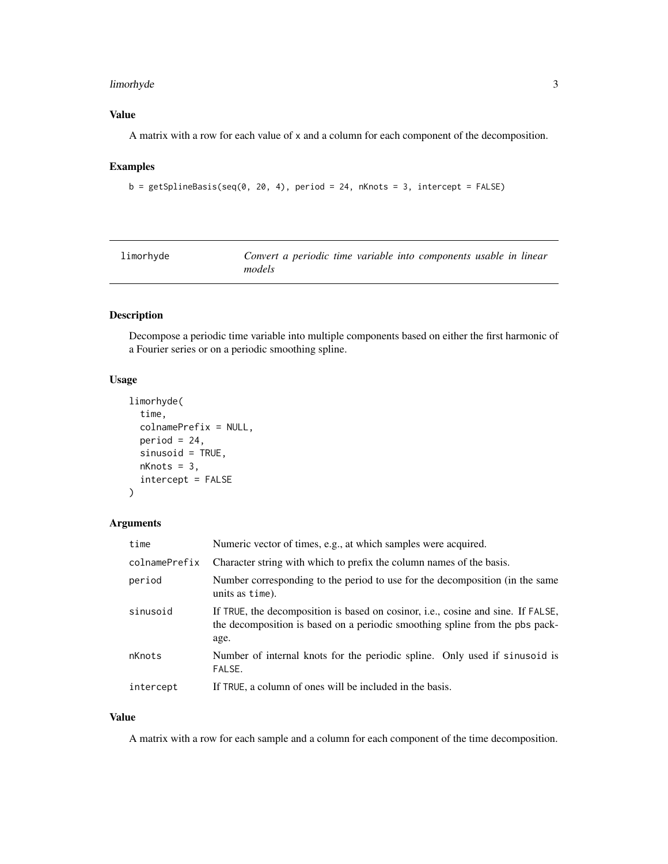### <span id="page-2-0"></span>limorhyde 3

### Value

A matrix with a row for each value of x and a column for each component of the decomposition.

### Examples

```
b = getSplitineBasis(seq(0, 20, 4), period = 24, nKnots = 3, intercept = FALSE)
```

| limorhyde | Convert a periodic time variable into components usable in linear |  |  |  |
|-----------|-------------------------------------------------------------------|--|--|--|
|           | models                                                            |  |  |  |

### Description

Decompose a periodic time variable into multiple components based on either the first harmonic of a Fourier series or on a periodic smoothing spline.

### Usage

```
limorhyde(
  time,
  colnamePrefix = NULL,
 period = 24,
  sinusoid = TRUE,
  nknots = 3,
  intercept = FALSE
)
```
### Arguments

| time          | Numeric vector of times, e.g., at which samples were acquired.                                                                                                           |
|---------------|--------------------------------------------------------------------------------------------------------------------------------------------------------------------------|
| colnamePrefix | Character string with which to prefix the column names of the basis.                                                                                                     |
| period        | Number corresponding to the period to use for the decomposition (in the same<br>units as time).                                                                          |
| sinusoid      | If TRUE, the decomposition is based on cosinor, i.e., cosine and sine. If FALSE,<br>the decomposition is based on a periodic smoothing spline from the pbs pack-<br>age. |
| nKnots        | Number of internal knots for the periodic spline. Only used if sinusoid is<br>FALSE.                                                                                     |
| intercept     | If TRUE, a column of ones will be included in the basis.                                                                                                                 |

### Value

A matrix with a row for each sample and a column for each component of the time decomposition.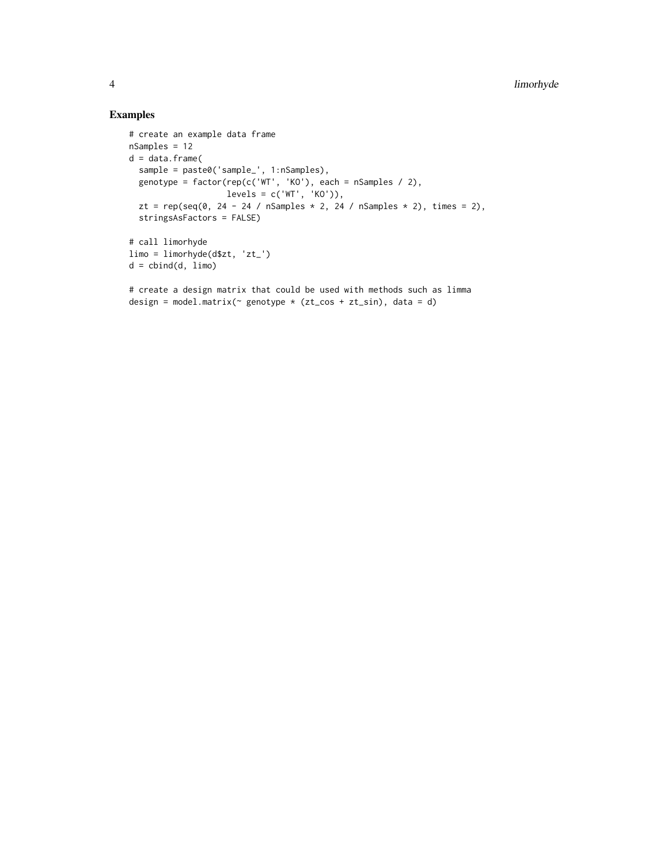### Examples

```
# create an example data frame
nSamples = 12
d = data-frame(sample = paste0('sample_', 1:nSamples),
  genotype = factor(rep(c('WT', 'KO'), each = nSamples / 2),
                    levels = c('WT', 'KO')),
  zt = rep(seq(0, 24 - 24 / nSamples * 2, 24 / nSamples * 2), times = 2),
  stringsAsFactors = FALSE)
# call limorhyde
limo = limorhyde(d$zt, 'zt_')
d = \text{cbind}(d, \text{ lim})# create a design matrix that could be used with methods such as limma
design = model.matrix(\sim genotype \star (zt_cos + zt_sin), data = d)
```